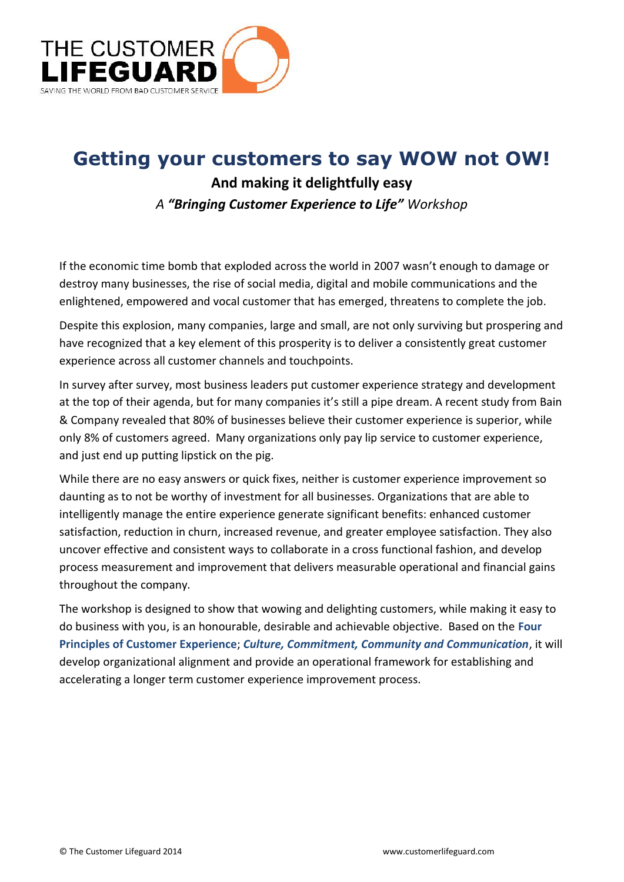

# **Getting your customers to say WOW not OW!**

### **And making it delightfully easy** *A "Bringing Customer Experience to Life" Workshop*

If the economic time bomb that exploded across the world in 2007 wasn't enough to damage or destroy many businesses, the rise of social media, digital and mobile communications and the enlightened, empowered and vocal customer that has emerged, threatens to complete the job.

Despite this explosion, many companies, large and small, are not only surviving but prospering and have recognized that a key element of this prosperity is to deliver a consistently great customer experience across all customer channels and touchpoints.

In survey after survey, most business leaders put customer experience strategy and development at the top of their agenda, but for many companies it's still a pipe dream. A recent study from Bain & Company revealed that 80% of businesses believe their customer experience is superior, while only 8% of customers agreed. Many organizations only pay lip service to customer experience, and just end up putting lipstick on the pig.

While there are no easy answers or quick fixes, neither is customer experience improvement so daunting as to not be worthy of investment for all businesses. Organizations that are able to intelligently manage the entire experience generate significant benefits: enhanced customer satisfaction, reduction in churn, increased revenue, and greater employee satisfaction. They also uncover effective and consistent ways to collaborate in a cross functional fashion, and develop process measurement and improvement that delivers measurable operational and financial gains throughout the company.

The workshop is designed to show that wowing and delighting customers, while making it easy to do business with you, is an honourable, desirable and achievable objective. Based on the **Four Principles of Customer Experience**; *Culture, Commitment, Community and Communication*, it will develop organizational alignment and provide an operational framework for establishing and accelerating a longer term customer experience improvement process.